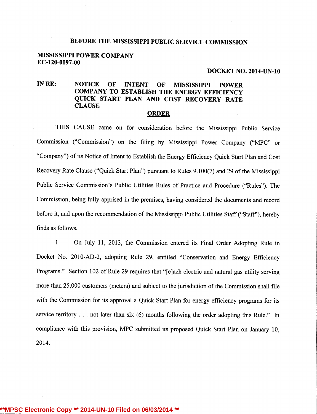#### BEFORE THE MISSISSIPPI PUBLIC SERVICE COMMISSION

#### MISSISSIPPI POWER COMPANY EC-120-0097-00

#### DOCKET NO. 2014-UN-10

## IN RE: NOTICE OF INTENT OF MISSISSIPPI POWER COMPANY TO ESTABLISH THE ENERGY EFFICIENCY QUICK START PLAN AND COST RECOVERY RATE **CLAUSE**

#### ORDER

THIS CAUSE came on for consideration before the Mississippi Public Service Commission ("Commission") on the filing by Mississippi Power Company ("MPC" or "Company") of its Notice of Intent to Establish the Energy Efficiency Quick Start Plan and Cost Recovery Rate Clause ("Quick Start Plan") pursuant to Rules 9.100(7) and 29 of the Mississippi Public Service Commission's Public Utilities Rules of Practice and Procedure ("Rules"). The Commission, being fully apprised in the premises, having considered the documents and record before it, and upon the recommendation of the Mississippi Public Utilities Staff ("Staff"), hereby finds as follows.

1. On July 11, 2013, the Commission entered its Final Order Adopting Rule in Docket No. 2010-AD-2, adopting Rule 29, entitled "Conservation and Energy Efficiency Programs." Section 102 of Rule 29 requires that "[e]ach electric and natural gas utility serving more than 25,000 customers (meters) and subject to the jurisdiction of the Commission shall file with the Commission for its approval a Quick Start Plan for energy efficiency programs for its service territory . . . not later than six (6) months following the order adopting this Rule." In compliance with this provision, MPC submitted its proposed Quick Start Plan on January 10, 2014.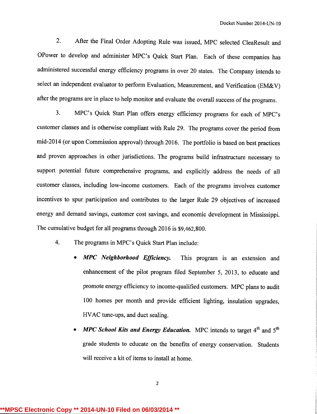2. After the Final Order Adopting Rule was issued, MPC selected CleaResult and OPower to develop and administer MPC's Quick Start Plan. Each of these companies has administered successful energy efficiency programs in over 20 states. The Company intends to select an independent evaluator to perform Evaluation, Measurement, and Verification (EM&V) after the programs are in place to help monitor and evaluate the overall success of the programs.

3. MPC's Quick Start Plan offers energy efficiency programs for each of MPC's customer classes and is otherwise compliant with Rule 29. The programs cover the period from mid-2014 (or upon Commission approval) through 2016. The portfolio is based on best practices and proven approaches in other jurisdictions. The programs build infrastructure necessary to support potential future comprehensive programs, and explicitly address the needs of all customer classes, including low-income customers. Each of the programs involves customer incentives to spur participation and contributes to the larger Rule 29 objectives of increased energy and demand savings, customer cost savings, and economic development in Mississippi. The cumulative budget for all programs through 2016 is \$9,462,800.

- 4. The programs in MPC's Quick Start Plan include:
	- MPC Neighborhood Efficiency. This program is an extension and enhancement of the pilot program filed September 5, 2013, to educate and promote energy efficiency to income-qualified customers. MPC plans to audit 100 homes per month and provide efficient lighting, insulation upgrades, HVAC tune-ups, and duct sealing.
	- **MPC School Kits and Energy Education.** MPC intends to target  $4<sup>th</sup>$  and  $5<sup>th</sup>$ grade students to educate on the benefits of energy conservation. Students will receive a kit of items to install at home.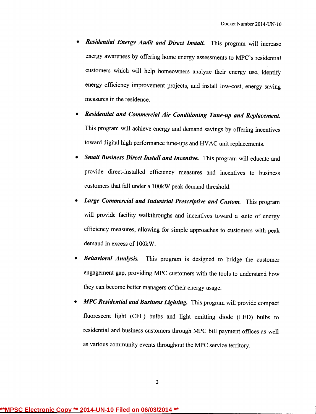- **Residential Energy Audit and Direct Install.** This program will increase energy awareness by offering home energy assessments to MPC's residential customers which will help homeowners analyze their energy use, identify energy efficiency improvement projects, and install low-cost, energy saving measures in the residence.
- Residential and Commercial Air Conditioning Tune-up and Replacement. This program will achieve energy and demand savings by offering incentives toward digital high performance tune-ups and HVAC unit replacements.
- Small Business Direct Install and Incentive. This program will educate and provide direct-installed efficiency measures and incentives to business customers that fall under a 100kW peak demand threshold.
- Large Commercial and Industrial Prescriptive and Custom. This program will provide facility walkthroughs and incentives toward a suite of energy efficiency measures, allowing for simple approaches to customers with peak demand in excess of 100kW.
- **Behavioral Analysis.** This program is designed to bridge the customer engagement gap, providing MPC customers with the tools to understand how they can become better managers of their energy usage.
- MPC Residential and Business Lighting. This program will provide compact fluorescent light (CFL) bulbs and light emitting diode (LED) bulbs to residential and business customers through MPC bill payment offices as well as various community events throughout the MPC service territory.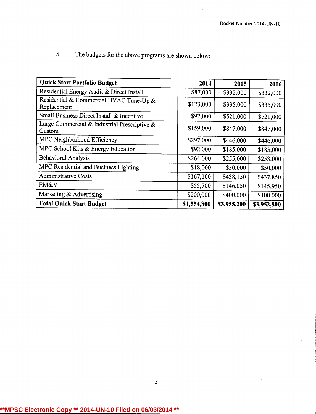| <b>Quick Start Portfolio Budget</b>                    | 2014        | 2015        | 2016        |
|--------------------------------------------------------|-------------|-------------|-------------|
| Residential Energy Audit & Direct Install              | \$87,000    | \$332,000   | \$332,000   |
| Residential & Commercial HVAC Tune-Up &<br>Replacement | \$123,000   | \$335,000   | \$335,000   |
| Small Business Direct Install & Incentive              | \$92,000    | \$521,000   | \$521,000   |
| Large Commercial & Industrial Prescriptive &<br>Custom | \$159,000   | \$847,000   | \$847,000   |
| MPC Neighborhood Efficiency                            | \$297,000   | \$446,000   | \$446,000   |
| MPC School Kits & Energy Education                     | \$92,000    | \$185,000   | \$185,000   |
| <b>Behavioral Analysis</b>                             | \$264,000   | \$255,000   | \$253,000   |
| MPC Residential and Business Lighting                  | \$18,000    | \$50,000    | \$50,000    |
| <b>Administrative Costs</b>                            | \$167,100   | \$438,150   | \$437,850   |
| EM&V                                                   | \$55,700    | \$146,050   | \$145,950   |
| Marketing & Advertising                                | \$200,000   | \$400,000   | \$400,000   |
| <b>Total Quick Start Budget</b>                        | \$1,554,800 | \$3,955,200 | \$3,952,800 |

4

5. The budgets for the above programs are shown below: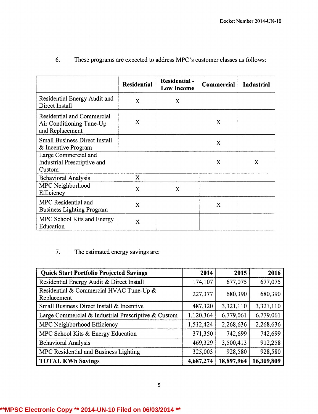|                                                                           | <b>Residential</b> | <b>Residential -</b><br><b>Low Income</b> | <b>Commercial</b> | <b>Industrial</b> |
|---------------------------------------------------------------------------|--------------------|-------------------------------------------|-------------------|-------------------|
| Residential Energy Audit and<br>Direct Install                            | X                  | X                                         |                   |                   |
| Residential and Commercial<br>Air Conditioning Tune-Up<br>and Replacement | X                  |                                           | X                 |                   |
| <b>Small Business Direct Install</b><br>& Incentive Program               |                    |                                           | X                 |                   |
| Large Commercial and<br><b>Industrial Prescriptive and</b><br>Custom      |                    |                                           | X                 | X                 |
| <b>Behavioral Analysis</b>                                                | X                  |                                           |                   |                   |
| MPC Neighborhood<br>Efficiency                                            | $\mathbf x$        | X                                         |                   |                   |
| MPC Residential and<br><b>Business Lighting Program</b>                   | $\mathbf{X}$       |                                           | X                 |                   |
| MPC School Kits and Energy<br>Education                                   | X                  |                                           |                   |                   |

# 6. These programs are expected to address MPC's customer classes as follows:

# 7. The estimated energy savings are:

| <b>Quick Start Portfolio Projected Savings</b>         | 2014      | 2015       | 2016       |
|--------------------------------------------------------|-----------|------------|------------|
| Residential Energy Audit & Direct Install              | 174,107   | 677,075    | 677,075    |
| Residential & Commercial HVAC Tune-Up &<br>Replacement | 227,377   | 680,390    | 680,390    |
| Small Business Direct Install & Incentive              | 487,320   | 3,321,110  | 3,321,110  |
| Large Commercial & Industrial Prescriptive & Custom    | 1,120,364 | 6,779,061  | 6,779,061  |
| MPC Neighborhood Efficiency                            | 1,512,424 | 2,268,636  | 2,268,636  |
| MPC School Kits & Energy Education                     | 371,350   | 742,699    | 742,699    |
| <b>Behavioral Analysis</b>                             | 469,329   | 3,500,413  | 912,258    |
| MPC Residential and Business Lighting                  | 325,003   | 928,580    | 928,580    |
| <b>TOTAL KWh Savings</b>                               | 4,687,274 | 18,897,964 | 16,309,809 |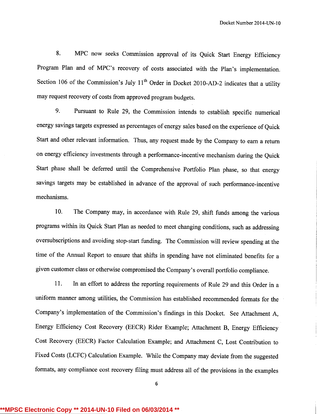8. MPC now seeks Commission approval of its Quick Start Energy Efficiency Program Plan and of MPC's recovery of costs associated with the Plan's implementation. Section 106 of the Commission's July  $11<sup>th</sup>$  Order in Docket 2010-AD-2 indicates that a utility may request recovery of costs from approved program budgets.

9. Pursuant to Rule 29, the Commission intends to establish specific numerical energy savings targets expressed as percentages of energy sales based on the experience of Quick Start and other relevant information. Thus, any request made by the Company to earn a return on energy efficiency investments through a performance-incentive mechanism during the Quick Start phase shall be deferred until the Comprehensive Portfolio Plan phase, so that energy savings targets may be established in advance of the approval of such performance-incentive mechanisms.

10. The Company may, in accordance with Rule 29, shift funds among the various programs within its Quick Start Plan as needed to meet changing conditions, such as addressing oversubscriptions and avoiding stop-start funding. The Commission will review spending at the time of the Annual Report to ensure that shifts in spending have not eliminated benefits for a given customer class or otherwise compromised the Company's overall portfolio compliance.

11. In an effort to address the reporting requirements of Rule 29 and this Order in a uniform manner among utilities, the Commission has established recommended formats for the Company's implementation of the Commission's findings in this Docket. See Attachment A, Energy Efficiency Cost Recovery (EECR) Rider Example; Attachment B, Energy Efficiency Cost Recovery (EECR) Factor Calculation Example; and Attachment C, Lost Contribution to Fixed Costs (LCFC) Calculation Example. While the Company may deviate from the suggested formats, any compliance cost recovery filing must address all of the provisions in the examples

6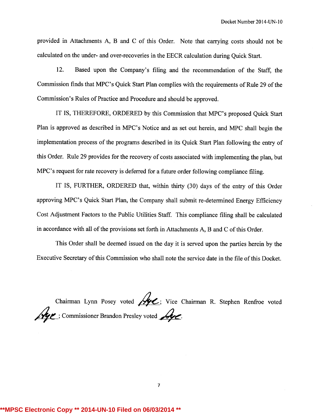provided in Attachments A, B and C of this Order. Note that carrying costs should not be calculated on the under- and over-recoveries in the EECR calculation during Quick Start.

12. Based upon the Company's filing and the recommendation of the Staff, the Commission finds that MPC's Quick Start Plan complies with the requirements of Rule 29 of the Commission's Rules of Practice and Procedure and should be approved.

IT IS, THEREFORE, ORDERED by this Commission that MPC's proposed Quick Start Plan is approved as described in MPC's Notice and as set out herein, and MPC shall begin the implementation process of the programs described in its Quick Start Plan following the entry of this Order. Rule 29 provides for the recovery of costs associated with implementing the plan, but MPC's request for rate recovery is deferred for a future order following compliance filing.

IT IS, FURTHER, ORDERED that, within thirty (30) days of the entry of this Order approving MPC's Quick Start Plan, the Company shall submit re-determined Energy Efficiency Cost Adjustment Factors to the Public Utilities Staff. This compliance filing shall be calculated in accordance with all of the provisions set forth in Attachments A, B and C of this Order.

This Order shall be deemed issued on the day it is served upon the parties herein by the Executive Secretary of this Commission who shall note the service date in the file of this Docket.

Chairman Lynn Posey voted  $\mathcal{L}$ ; Vice Chairman R. Stephen Renfroe voted  $\mathcal{A}$ ge ; Commissioner Brandon Presley voted  $\mathcal{A}$ 

7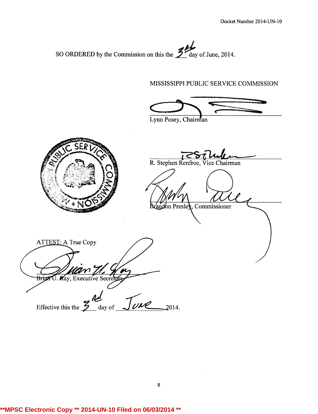SO ORDERED by the Commission on this the  $\frac{3}{4}$  day of June, 2014.

## MISSISSIPPI PUBLIC SERVICE COMMISSION

Lynn Posey, Chairman



R. Stephen Renfroe, Vice Chairman

and on Presley, Commissioner

ATTEST: A True Copy <del>Brian</del> av, Executive Secre

Effective this the  $\frac{9}{2}$  day of  $\frac{\int \mathcal{U}d\mathcal{U}}{\int \mathcal{U}d\mathcal{U}}$  2014.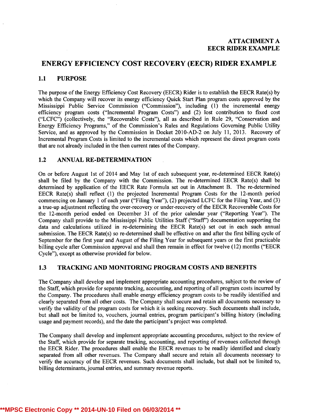## ENERGY EFFICIENCY COST RECOVERY (EECR) RIDER EXAMPLE

#### 1.1 PURPOSE

The purpose of the Energy Efficiency Cost Recovery (EECR) Rider is to establish the EECR Rate(s) by which the Company will recover its energy efficiency Quick Start Plan program costs approved by the Mississippi Public Service Commission ("Commission"), including (1) the incremental energy efficiency program costs ("Incremental Program Costs") and (2) lost contribution to fixed cost ("LCFC") (collectively, the "Recoverable Costs"), all as described in Rule 29, "Conservation and Energy Efficiency Programs," of the Commission's Rules and Regulations Governing Public Utility Service, and as approved by the Commission in Docket 2010-AD-2 on July 11, 2013. Recovery of Incremental Program Costs is limited to the incremental costs which represent the direct program costs that are not already included in the then current rates of the Company.

#### 1.2 ANNUAL RE-DETERMINATION

On or before August lst of 2014 and May lst of each subsequent year, re-determined EECR Rate(s) shall be filed by the Company with the Commission. The re-determined EECR Rate(s) shall be determined by application of the EECR Rate Formula set out in Attachment B. The re-determined EECR Rate(s) shall reflect (1) the projected Incremental Program Costs for the 12-month period commencing on January 1 of each year ("Filing Year"), (2) projected LCFC for the Filing Year, and (3) a true-up adjustment reflecting the over-recovery or under-recovery of the EECR Recoverable Costs for the 12-month period ended on December 31 of the prior calendar year ("Reporting Year"). The Company shall provide to the Mississippi Public Utilities Staff ("Staff") documentation supporting the data and calculations utilized in re-determining the EECR Rate(s) set out in each such annual submission. The EECR Rate(s) so re-determined shall be effective on and after the first billing cycle of September for the first year and August of the Filing Year for subsequent years or the first practicable billing cycle after Commission approval and shall then remain in effect for twelve (12) months ("EECR Cycle"), except as otherwise provided for below.

## 1.3 TRACKING AND MONITORING PROGRAM COSTS AND BENEFITS

The Company shall develop and implement appropriate accounting procedures, subject to the review of the Staff, which provide for separate tracking, accounting, and reporting of all program costs incurred by the Company. The procedures shall enable energy efficiency program costs to be readily identified and clearly separated from all other costs. The Company shall secure and retain all documents necessary to verify the validity of the program costs for which it is seeking recovery. Such documents shall include, but shall not be limited to, vouchers, journal entries, program participant's billing history (including usage and payment records), and the date the participant's project was completed.

The Company shall develop and implement appropriate accounting procedures, subject to the review of the Staff, which provide for separate tracking, accounting, and reporting of revenues collected through the EECR Rider. The procedures shall enable the EECR revenues to be readily identified and clearly separated from all other revenues. The Company shall secure and retain all documents necessary to verify the accuracy of the EECR revenues. Such documents shall include, but shall not be limited to, billing determinants, journal entries, and summary revenue reports.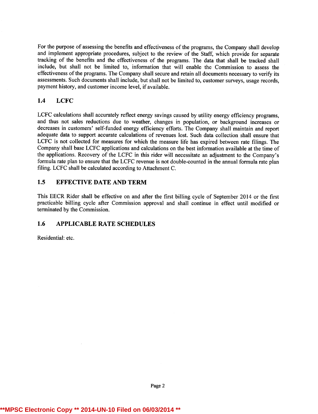For the purpose of assessing the benefits and effectiveness of the programs, the Company shall develop and implement appropriate procedures, subject to the review of the Staff, which provide for separate tracking of the benefits and the effectiveness of the programs. The data that shall be tracked shall include, but shall not be limited to, information that will enable the Commission to assess the effectiveness of the programs. The Company shall secure and retain all documents necessary to verify its assessments. Such documents shall include, but shall not be limited to, customer surveys, usage records, payment history, and customer income level, if available.

### 1.4 LCFC

LCFC calculations shall accurately reflect energy savings caused by utility energy efficiency programs, and thus not sales reductions due to weather, changes in population, or background increases or decreases in customers' self-funded energy efficiency efforts. The Company shall maintain and report adequate data to support accurate calculations of revenues lost. Such data collection shall ensure that LCFC is not collected for measures for which the measure life has expired between rate filings. The Company shall base LCFC applications and calculations on the best information available at the time of the applications. Recovery of the LCFC in this rider will necessitate an adjustment to the Company's formula rate plan to ensure that the LCFC revenue is not double-counted in the annual formula rate plan filing. LCFC shall be calculated according to Attachment C.

## 1.5 EFFECTIVE DATE AND TERM

This EECR Rider shall be effective on and after the first billing cycle of September 2014 or the first practicable billing cycle after Commission approval and shall continue in effect until modified or terminated by the Commission.

## 1.6 APPLICABLE RATE SCHEDULES

Residential: etc.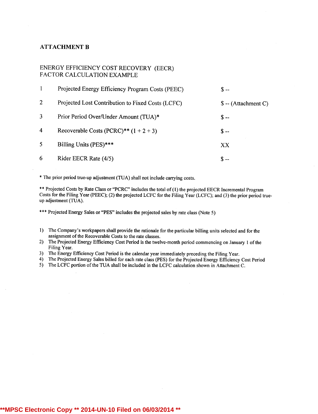#### ATTACHMENT B

#### ENERGY EFFICIENCY COST RECOVERY (EECR) FACTOR CALCULATION EXAMPLE

|                | Projected Energy Efficiency Program Costs (PEEC)  | S --                  |
|----------------|---------------------------------------------------|-----------------------|
| 2              | Projected Lost Contribution to Fixed Costs (LCFC) | $\$ -- (Attachment C) |
| 3              | Prior Period Over/Under Amount (TUA)*             | $S -$                 |
| $\overline{4}$ | Recoverable Costs (PCRC)** $(1 + 2 + 3)$          | \$ --                 |
| -5             | Billing Units (PES)***                            | XX                    |
| 6              | Rider EECR Rate (4/5)                             | $S -$                 |

\* The prior period true-upadjustment (TUA) shall not include carrying costs.

\*\* Projected Costs by Rate Class or "PCRC" includes the total of (1) the projected EECR Incremental Program Costs for the Filing Year (PEEC); (2) the projected LCFC for the Filing Year (LCFC); and (3) the prior period trueup adjustment (TUA).

\*\*\* Projected Energy Sales or "PES" includes the projected sales by rate class (Note 5)

- 1) The Company's workpapers shall provide the rationale for the particular billing units selected and for the assignment of the Recoverable Costs to the rate classes.
- 2) The Projected Energy Efficiency Cost Period is the twelve-month period commencing on January 1 of the Filing Year.
- 3) The Energy Efficiency Cost Period is the calendar year immediately preceding the Filing Year.
- 4) The Projected Energy Sales billed for each rate class (PES) for the Projected Energy Efficiency Cost Period
- 5) The LCFC portion ofthe TUA shall be included in the LCFC calculation shown in Attachment C.